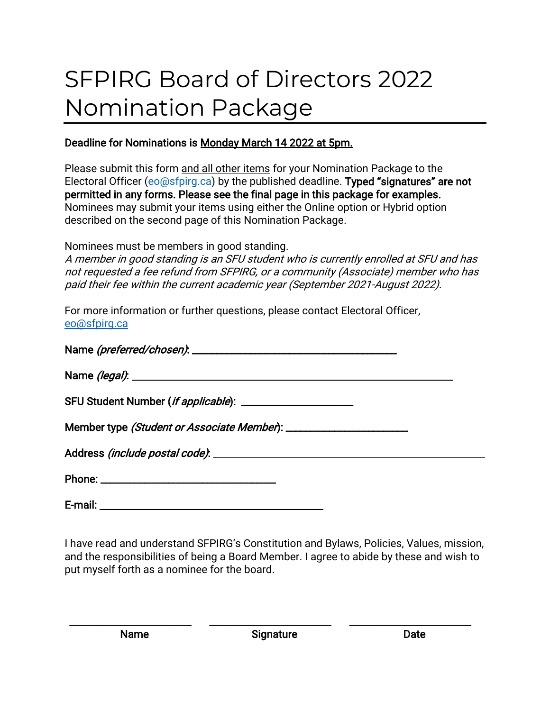# SFPIRG Board of Directors 2022 Nomination Package

### Deadline for Nominations is Monday March 14 2022 at 5pm.

Please submit this form and all other items for your Nomination Package to the Electoral Officer [\(eo@sfpirg.ca\)](mailto:eo@sfpirg.ca) by the published deadline. Typed "signatures" are not permitted in any forms. Please see the final page in this package for examples. Nominees may submit your items using either the Online option or Hybrid option described on the second page of this Nomination Package.

Nominees must be members in good standing.

A member in good standing is an SFU student who is currently enrolled at SFU and has not requested a fee refund from SFPIRG, or a community (Associate) member who has paid their fee within the current academic year (September 2021-August 2022).

For more information or further questions, please contact Electoral Officer, [eo@sfpirg.ca](mailto:eo@sfpirg.ca)

E-mail:

I have read and understand SFPIRG's Constitution and Bylaws, Policies, Values, mission, and the responsibilities of being a Board Member. I agree to abide by these and wish to put myself forth as a nominee for the board.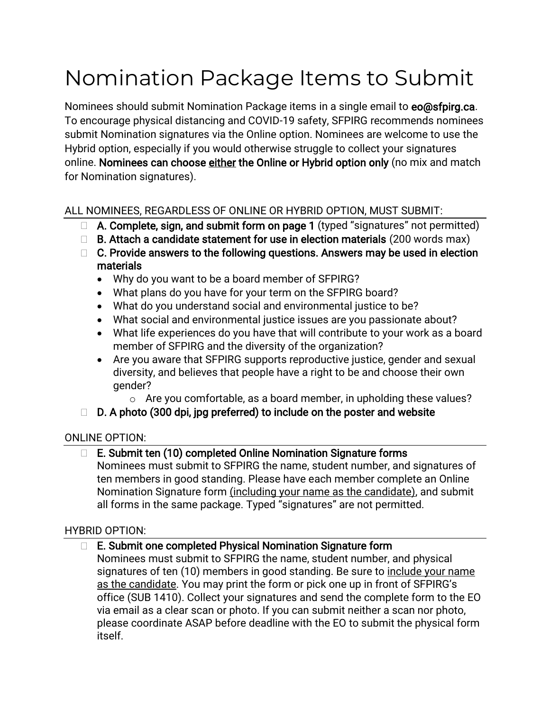# Nomination Package Items to Submit

Nominees should submit Nomination Package items in a single email to eo@sfpirg.ca. To encourage physical distancing and COVID-19 safety, SFPIRG recommends nominees submit Nomination signatures via the Online option. Nominees are welcome to use the Hybrid option, especially if you would otherwise struggle to collect your signatures online. Nominees can choose either the Online or Hybrid option only (no mix and match for Nomination signatures).

### ALL NOMINEES, REGARDLESS OF ONLINE OR HYBRID OPTION, MUST SUBMIT:

- $\Box$  A. Complete, sign, and submit form on page 1 (typed "signatures" not permitted)
- $\Box$  B. Attach a candidate statement for use in election materials (200 words max)
- $\Box$  C. Provide answers to the following questions. Answers may be used in election materials
	- Why do you want to be a board member of SFPIRG?
	- What plans do you have for your term on the SFPIRG board?
	- What do you understand social and environmental justice to be?
	- What social and environmental justice issues are you passionate about?
	- What life experiences do you have that will contribute to your work as a board member of SFPIRG and the diversity of the organization?
	- Are you aware that SFPIRG supports reproductive justice, gender and sexual diversity, and believes that people have a right to be and choose their own gender?
		- o Are you comfortable, as a board member, in upholding these values?

# $\Box$  D. A photo (300 dpi, jpg preferred) to include on the poster and website

#### ONLINE OPTION:

# $\Box$  E. Submit ten (10) completed Online Nomination Signature forms

Nominees must submit to SFPIRG the name, student number, and signatures of ten members in good standing. Please have each member complete an Online Nomination Signature form (including your name as the candidate), and submit all forms in the same package. Typed "signatures" are not permitted.

#### HYBRID OPTION:

#### □ E. Submit one completed Physical Nomination Signature form

Nominees must submit to SFPIRG the name, student number, and physical signatures of ten (10) members in good standing. Be sure to include your name as the candidate. You may print the form or pick one up in front of SFPIRG's office (SUB 1410). Collect your signatures and send the complete form to the EO via email as a clear scan or photo. If you can submit neither a scan nor photo, please coordinate ASAP before deadline with the EO to submit the physical form itself.